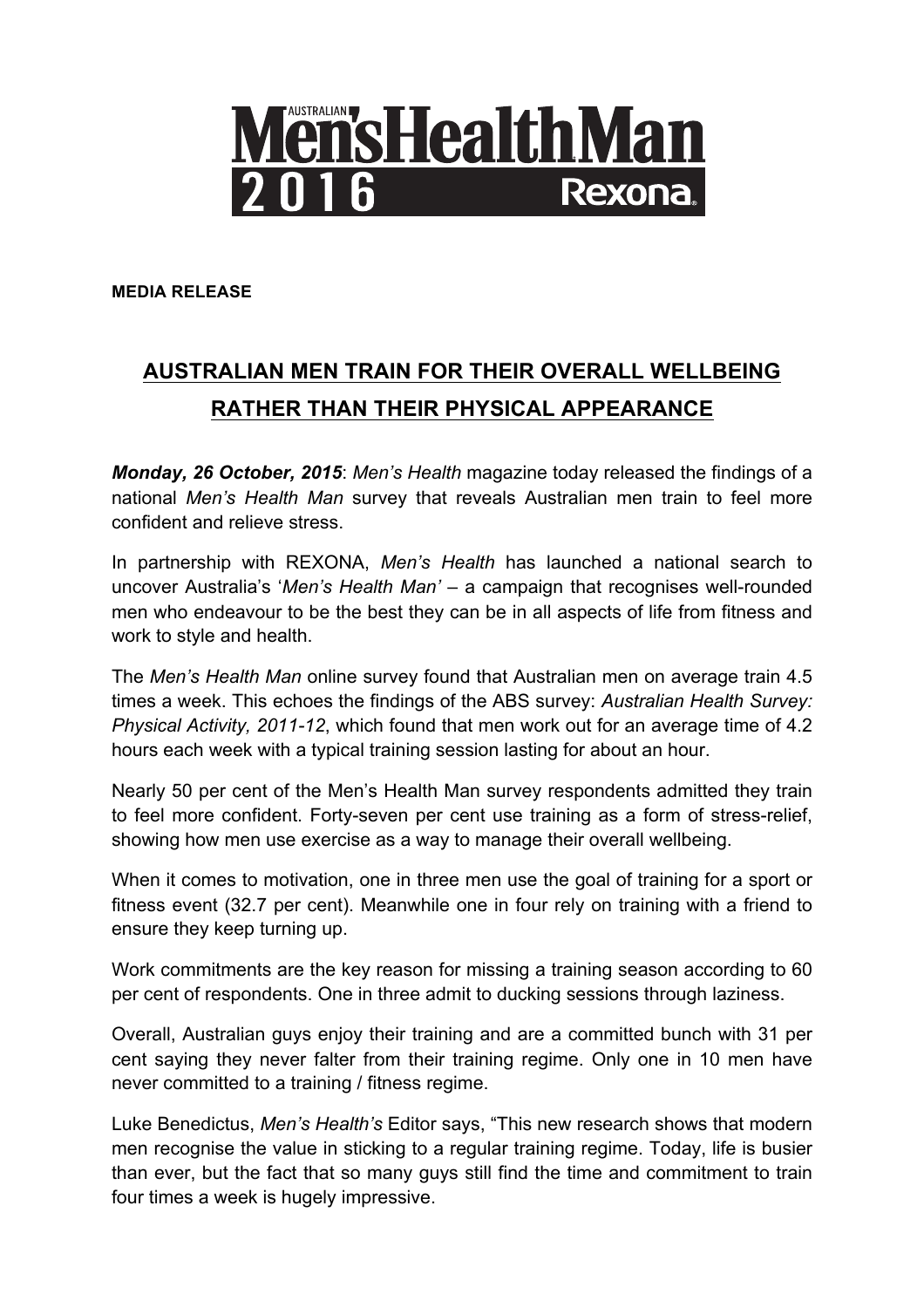

**MEDIA RELEASE**

## **AUSTRALIAN MEN TRAIN FOR THEIR OVERALL WELLBEING RATHER THAN THEIR PHYSICAL APPEARANCE**

*Monday, 26 October, 2015*: *Men's Health* magazine today released the findings of a national *Men's Health Man* survey that reveals Australian men train to feel more confident and relieve stress.

In partnership with REXONA, *Men's Health* has launched a national search to uncover Australia's '*Men's Health Man' –* a campaign that recognises well-rounded men who endeavour to be the best they can be in all aspects of life from fitness and work to style and health.

The *Men's Health Man* online survey found that Australian men on average train 4.5 times a week. This echoes the findings of the ABS survey: *Australian Health Survey: Physical Activity, 2011-12*, which found that men work out for an average time of 4.2 hours each week with a typical training session lasting for about an hour.

Nearly 50 per cent of the Men's Health Man survey respondents admitted they train to feel more confident. Forty-seven per cent use training as a form of stress-relief, showing how men use exercise as a way to manage their overall wellbeing.

When it comes to motivation, one in three men use the goal of training for a sport or fitness event (32.7 per cent). Meanwhile one in four rely on training with a friend to ensure they keep turning up.

Work commitments are the key reason for missing a training season according to 60 per cent of respondents. One in three admit to ducking sessions through laziness.

Overall, Australian guys enjoy their training and are a committed bunch with 31 per cent saying they never falter from their training regime. Only one in 10 men have never committed to a training / fitness regime.

Luke Benedictus, *Men's Health's* Editor says, "This new research shows that modern men recognise the value in sticking to a regular training regime. Today, life is busier than ever, but the fact that so many guys still find the time and commitment to train four times a week is hugely impressive.